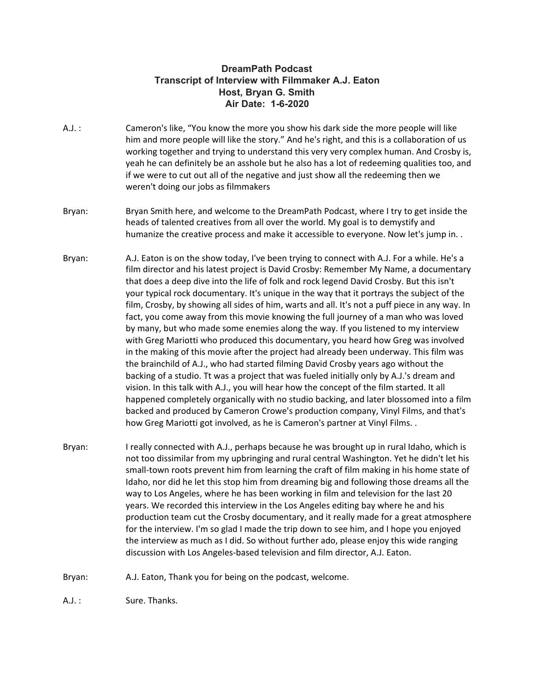## **DreamPath Podcast Transcript of Interview with Filmmaker A.J. Eaton Host, Bryan G. Smith Air Date: 1-6-2020**

- A.J. : Cameron's like, "You know the more you show his dark side the more people will like him and more people will like the story." And he's right, and this is a collaboration of us working together and trying to understand this very very complex human. And Crosby is, yeah he can definitely be an asshole but he also has a lot of redeeming qualities too, and if we were to cut out all of the negative and just show all the redeeming then we weren't doing our jobs as filmmakers
- Bryan: Bryan Smith here, and welcome to the DreamPath Podcast, where I try to get inside the heads of talented creatives from all over the world. My goal is to demystify and humanize the creative process and make it accessible to everyone. Now let's jump in. .
- Bryan: A.J. Eaton is on the show today, I've been trying to connect with A.J. For a while. He's a film director and his latest project is David Crosby: Remember My Name, a documentary that does a deep dive into the life of folk and rock legend David Crosby. But this isn't your typical rock documentary. It's unique in the way that it portrays the subject of the film, Crosby, by showing all sides of him, warts and all. It's not a puff piece in any way. In fact, you come away from this movie knowing the full journey of a man who was loved by many, but who made some enemies along the way. If you listened to my interview with Greg Mariotti who produced this documentary, you heard how Greg was involved in the making of this movie after the project had already been underway. This film was the brainchild of A.J., who had started filming David Crosby years ago without the backing of a studio. Tt was a project that was fueled initially only by A.J.'s dream and vision. In this talk with A.J., you will hear how the concept of the film started. It all happened completely organically with no studio backing, and later blossomed into a film backed and produced by Cameron Crowe's production company, Vinyl Films, and that's how Greg Mariotti got involved, as he is Cameron's partner at Vinyl Films. .
- Bryan: I really connected with A.J., perhaps because he was brought up in rural Idaho, which is not too dissimilar from my upbringing and rural central Washington. Yet he didn't let his small-town roots prevent him from learning the craft of film making in his home state of Idaho, nor did he let this stop him from dreaming big and following those dreams all the way to Los Angeles, where he has been working in film and television for the last 20 years. We recorded this interview in the Los Angeles editing bay where he and his production team cut the Crosby documentary, and it really made for a great atmosphere for the interview. I'm so glad I made the trip down to see him, and I hope you enjoyed the interview as much as I did. So without further ado, please enjoy this wide ranging discussion with Los Angeles-based television and film director, A.J. Eaton.
- Bryan: A.J. Eaton, Thank you for being on the podcast, welcome.

A.J.: Sure. Thanks.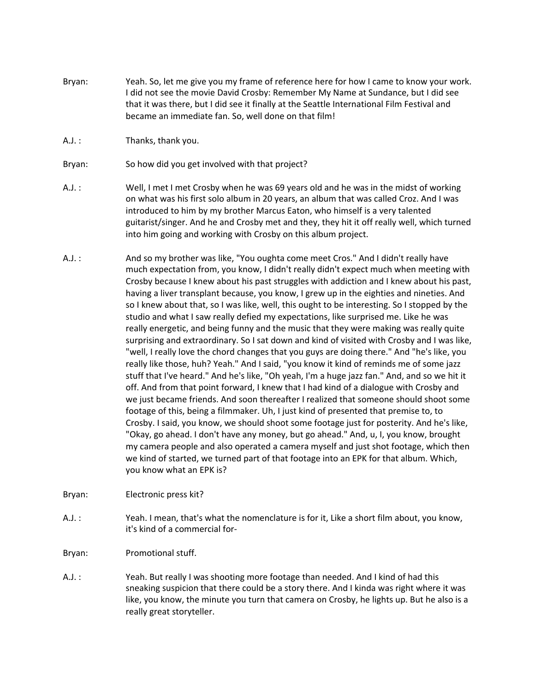- Bryan: Yeah. So, let me give you my frame of reference here for how I came to know your work. I did not see the movie David Crosby: Remember My Name at Sundance, but I did see that it was there, but I did see it finally at the Seattle International Film Festival and became an immediate fan. So, well done on that film!
- A.J. : Thanks, thank you.
- Bryan: So how did you get involved with that project?
- A.J. : Well, I met I met Crosby when he was 69 years old and he was in the midst of working on what was his first solo album in 20 years, an album that was called Croz. And I was introduced to him by my brother Marcus Eaton, who himself is a very talented guitarist/singer. And he and Crosby met and they, they hit it off really well, which turned into him going and working with Crosby on this album project.
- A.J. : And so my brother was like, "You oughta come meet Cros." And I didn't really have much expectation from, you know, I didn't really didn't expect much when meeting with Crosby because I knew about his past struggles with addiction and I knew about his past, having a liver transplant because, you know, I grew up in the eighties and nineties. And so I knew about that, so I was like, well, this ought to be interesting. So I stopped by the studio and what I saw really defied my expectations, like surprised me. Like he was really energetic, and being funny and the music that they were making was really quite surprising and extraordinary. So I sat down and kind of visited with Crosby and I was like, "well, I really love the chord changes that you guys are doing there." And "he's like, you really like those, huh? Yeah." And I said, "you know it kind of reminds me of some jazz stuff that I've heard." And he's like, "Oh yeah, I'm a huge jazz fan." And, and so we hit it off. And from that point forward, I knew that I had kind of a dialogue with Crosby and we just became friends. And soon thereafter I realized that someone should shoot some footage of this, being a filmmaker. Uh, I just kind of presented that premise to, to Crosby. I said, you know, we should shoot some footage just for posterity. And he's like, "Okay, go ahead. I don't have any money, but go ahead." And, u, I, you know, brought my camera people and also operated a camera myself and just shot footage, which then we kind of started, we turned part of that footage into an EPK for that album. Which, you know what an EPK is?
- Bryan: Electronic press kit?
- A.J. : Yeah. I mean, that's what the nomenclature is for it, Like a short film about, you know, it's kind of a commercial for-
- Bryan: Promotional stuff.
- A.J. : Yeah. But really I was shooting more footage than needed. And I kind of had this sneaking suspicion that there could be a story there. And I kinda was right where it was like, you know, the minute you turn that camera on Crosby, he lights up. But he also is a really great storyteller.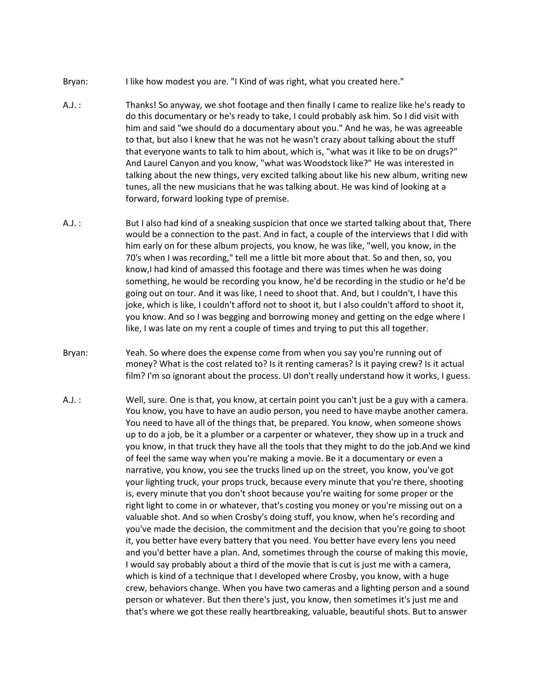- Bryan: I like how modest you are. "I Kind of was right, what you created here."
- A.J. : Thanks! So anyway, we shot footage and then finally I came to realize like he's ready to do this documentary or he's ready to take, I could probably ask him. So I did visit with him and said "we should do a documentary about you." And he was, he was agreeable to that, but also I knew that he was not he wasn't crazy about talking about the stuff that everyone wants to talk to him about, which is, "what was it like to be on drugs?" And Laurel Canyon and you know, "what was Woodstock like?" He was interested in talking about the new things, very excited talking about like his new album, writing new tunes, all the new musicians that he was talking about. He was kind of looking at a forward, forward looking type of premise.
- A.J. : But I also had kind of a sneaking suspicion that once we started talking about that, There would be a connection to the past. And in fact, a couple of the interviews that I did with him early on for these album projects, you know, he was like, "well, you know, in the 70's when I was recording," tell me a little bit more about that. So and then, so, you know,I had kind of amassed this footage and there was times when he was doing something, he would be recording you know, he'd be recording in the studio or he'd be going out on tour. And it was like, I need to shoot that. And, but I couldn't, I have this joke, which is like, I couldn't afford not to shoot it, but I also couldn't afford to shoot it, you know. And so I was begging and borrowing money and getting on the edge where I like, I was late on my rent a couple of times and trying to put this all together.
- Bryan: Yeah. So where does the expense come from when you say you're running out of money? What is the cost related to? Is it renting cameras? Is it paying crew? Is it actual film? I'm so ignorant about the process. UI don't really understand how it works, I guess.
- A.J. : Well, sure. One is that, you know, at certain point you can't just be a guy with a camera. You know, you have to have an audio person, you need to have maybe another camera. You need to have all of the things that, be prepared. You know, when someone shows up to do a job, be it a plumber or a carpenter or whatever, they show up in a truck and you know, in that truck they have all the tools that they might to do the job.And we kind of feel the same way when you're making a movie. Be it a documentary or even a narrative, you know, you see the trucks lined up on the street, you know, you've got your lighting truck, your props truck, because every minute that you're there, shooting is, every minute that you don't shoot because you're waiting for some proper or the right light to come in or whatever, that's costing you money or you're missing out on a valuable shot. And so when Crosby's doing stuff, you know, when he's recording and you've made the decision, the commitment and the decision that you're going to shoot it, you better have every battery that you need. You better have every lens you need and you'd better have a plan. And, sometimes through the course of making this movie, I would say probably about a third of the movie that is cut is just me with a camera, which is kind of a technique that I developed where Crosby, you know, with a huge crew, behaviors change. When you have two cameras and a lighting person and a sound person or whatever. But then there's just, you know, then sometimes it's just me and that's where we got these really heartbreaking, valuable, beautiful shots. But to answer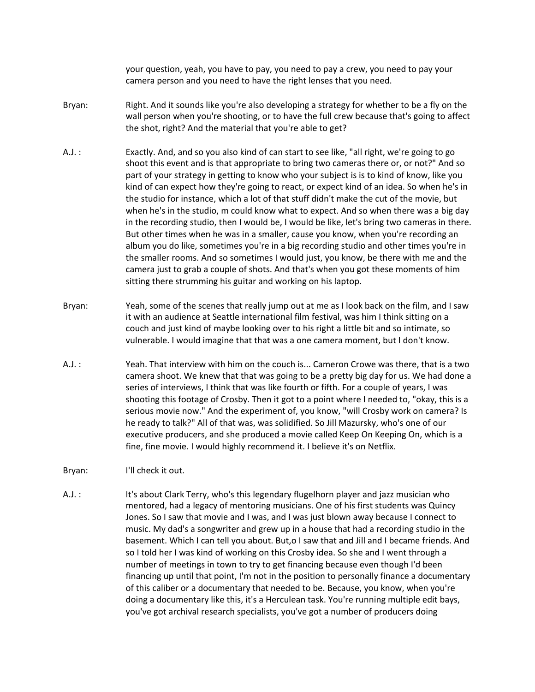your question, yeah, you have to pay, you need to pay a crew, you need to pay your camera person and you need to have the right lenses that you need.

- Bryan: Right. And it sounds like you're also developing a strategy for whether to be a fly on the wall person when you're shooting, or to have the full crew because that's going to affect the shot, right? And the material that you're able to get?
- A.J. : Exactly. And, and so you also kind of can start to see like, "all right, we're going to go shoot this event and is that appropriate to bring two cameras there or, or not?" And so part of your strategy in getting to know who your subject is is to kind of know, like you kind of can expect how they're going to react, or expect kind of an idea. So when he's in the studio for instance, which a lot of that stuff didn't make the cut of the movie, but when he's in the studio, m could know what to expect. And so when there was a big day in the recording studio, then I would be, I would be like, let's bring two cameras in there. But other times when he was in a smaller, cause you know, when you're recording an album you do like, sometimes you're in a big recording studio and other times you're in the smaller rooms. And so sometimes I would just, you know, be there with me and the camera just to grab a couple of shots. And that's when you got these moments of him sitting there strumming his guitar and working on his laptop.
- Bryan: Yeah, some of the scenes that really jump out at me as I look back on the film, and I saw it with an audience at Seattle international film festival, was him I think sitting on a couch and just kind of maybe looking over to his right a little bit and so intimate, so vulnerable. I would imagine that that was a one camera moment, but I don't know.
- A.J. : Yeah. That interview with him on the couch is... Cameron Crowe was there, that is a two camera shoot. We knew that that was going to be a pretty big day for us. We had done a series of interviews, I think that was like fourth or fifth. For a couple of years, I was shooting this footage of Crosby. Then it got to a point where I needed to, "okay, this is a serious movie now." And the experiment of, you know, "will Crosby work on camera? Is he ready to talk?" All of that was, was solidified. So Jill Mazursky, who's one of our executive producers, and she produced a movie called Keep On Keeping On, which is a fine, fine movie. I would highly recommend it. I believe it's on Netflix.

Bryan: I'll check it out.

A.J. : It's about Clark Terry, who's this legendary flugelhorn player and jazz musician who mentored, had a legacy of mentoring musicians. One of his first students was Quincy Jones. So I saw that movie and I was, and I was just blown away because I connect to music. My dad's a songwriter and grew up in a house that had a recording studio in the basement. Which I can tell you about. But,o I saw that and Jill and I became friends. And so I told her I was kind of working on this Crosby idea. So she and I went through a number of meetings in town to try to get financing because even though I'd been financing up until that point, I'm not in the position to personally finance a documentary of this caliber or a documentary that needed to be. Because, you know, when you're doing a documentary like this, it's a Herculean task. You're running multiple edit bays, you've got archival research specialists, you've got a number of producers doing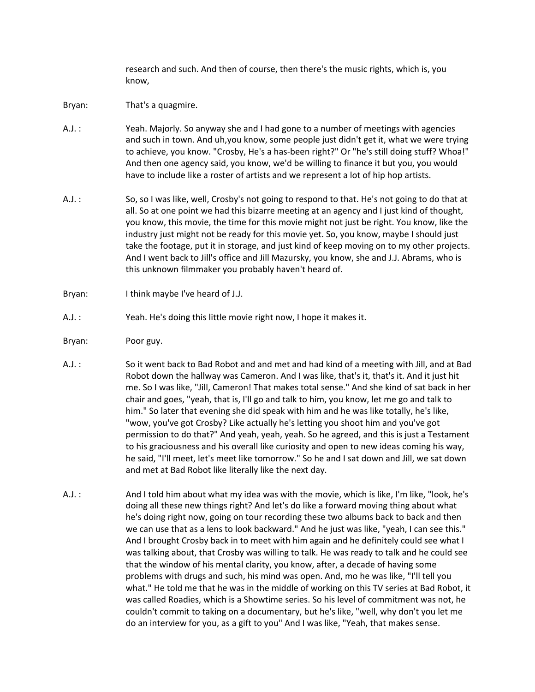research and such. And then of course, then there's the music rights, which is, you know,

- Bryan: That's a quagmire.
- A.J. : Yeah. Majorly. So anyway she and I had gone to a number of meetings with agencies and such in town. And uh,you know, some people just didn't get it, what we were trying to achieve, you know. "Crosby, He's a has-been right?" Or "he's still doing stuff? Whoa!" And then one agency said, you know, we'd be willing to finance it but you, you would have to include like a roster of artists and we represent a lot of hip hop artists.
- A.J. : So, so I was like, well, Crosby's not going to respond to that. He's not going to do that at all. So at one point we had this bizarre meeting at an agency and I just kind of thought, you know, this movie, the time for this movie might not just be right. You know, like the industry just might not be ready for this movie yet. So, you know, maybe I should just take the footage, put it in storage, and just kind of keep moving on to my other projects. And I went back to Jill's office and Jill Mazursky, you know, she and J.J. Abrams, who is this unknown filmmaker you probably haven't heard of.
- Bryan: I think maybe I've heard of J.J.
- A.J. : Yeah. He's doing this little movie right now, I hope it makes it.
- Bryan: Poor guy.
- A.J. : So it went back to Bad Robot and and met and had kind of a meeting with Jill, and at Bad Robot down the hallway was Cameron. And I was like, that's it, that's it. And it just hit me. So I was like, "Jill, Cameron! That makes total sense." And she kind of sat back in her chair and goes, "yeah, that is, I'll go and talk to him, you know, let me go and talk to him." So later that evening she did speak with him and he was like totally, he's like, "wow, you've got Crosby? Like actually he's letting you shoot him and you've got permission to do that?" And yeah, yeah, yeah. So he agreed, and this is just a Testament to his graciousness and his overall like curiosity and open to new ideas coming his way, he said, "I'll meet, let's meet like tomorrow." So he and I sat down and Jill, we sat down and met at Bad Robot like literally like the next day.
- A.J. : And I told him about what my idea was with the movie, which is like, I'm like, "look, he's doing all these new things right? And let's do like a forward moving thing about what he's doing right now, going on tour recording these two albums back to back and then we can use that as a lens to look backward." And he just was like, "yeah, I can see this." And I brought Crosby back in to meet with him again and he definitely could see what I was talking about, that Crosby was willing to talk. He was ready to talk and he could see that the window of his mental clarity, you know, after, a decade of having some problems with drugs and such, his mind was open. And, mo he was like, "I'll tell you what." He told me that he was in the middle of working on this TV series at Bad Robot, it was called Roadies, which is a Showtime series. So his level of commitment was not, he couldn't commit to taking on a documentary, but he's like, "well, why don't you let me do an interview for you, as a gift to you" And I was like, "Yeah, that makes sense.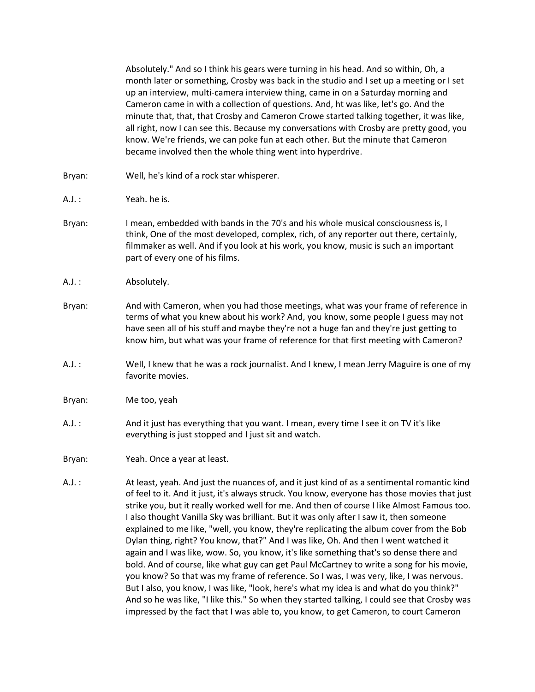Absolutely." And so I think his gears were turning in his head. And so within, Oh, a month later or something, Crosby was back in the studio and I set up a meeting or I set up an interview, multi-camera interview thing, came in on a Saturday morning and Cameron came in with a collection of questions. And, ht was like, let's go. And the minute that, that, that Crosby and Cameron Crowe started talking together, it was like, all right, now I can see this. Because my conversations with Crosby are pretty good, you know. We're friends, we can poke fun at each other. But the minute that Cameron became involved then the whole thing went into hyperdrive.

- Bryan: Well, he's kind of a rock star whisperer.
- A.J. : Yeah. he is.
- Bryan: I mean, embedded with bands in the 70's and his whole musical consciousness is, I think, One of the most developed, complex, rich, of any reporter out there, certainly, filmmaker as well. And if you look at his work, you know, music is such an important part of every one of his films.
- A.J.: Absolutely.
- Bryan: And with Cameron, when you had those meetings, what was your frame of reference in terms of what you knew about his work? And, you know, some people I guess may not have seen all of his stuff and maybe they're not a huge fan and they're just getting to know him, but what was your frame of reference for that first meeting with Cameron?
- A.J. : Well, I knew that he was a rock journalist. And I knew, I mean Jerry Maguire is one of my favorite movies.
- Bryan: Me too, yeah
- A.J. : And it just has everything that you want. I mean, every time I see it on TV it's like everything is just stopped and I just sit and watch.
- Bryan: Yeah. Once a year at least.
- A.J. : At least, yeah. And just the nuances of, and it just kind of as a sentimental romantic kind of feel to it. And it just, it's always struck. You know, everyone has those movies that just strike you, but it really worked well for me. And then of course I like Almost Famous too. I also thought Vanilla Sky was brilliant. But it was only after I saw it, then someone explained to me like, "well, you know, they're replicating the album cover from the Bob Dylan thing, right? You know, that?" And I was like, Oh. And then I went watched it again and I was like, wow. So, you know, it's like something that's so dense there and bold. And of course, like what guy can get Paul McCartney to write a song for his movie, you know? So that was my frame of reference. So I was, I was very, like, I was nervous. But I also, you know, I was like, "look, here's what my idea is and what do you think?" And so he was like, "I like this." So when they started talking, I could see that Crosby was impressed by the fact that I was able to, you know, to get Cameron, to court Cameron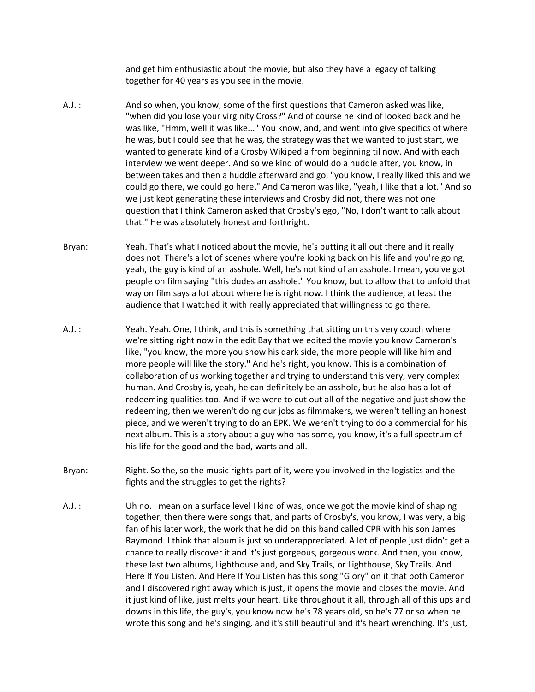and get him enthusiastic about the movie, but also they have a legacy of talking together for 40 years as you see in the movie.

- A.J. : And so when, you know, some of the first questions that Cameron asked was like, "when did you lose your virginity Cross?" And of course he kind of looked back and he was like, "Hmm, well it was like..." You know, and, and went into give specifics of where he was, but I could see that he was, the strategy was that we wanted to just start, we wanted to generate kind of a Crosby Wikipedia from beginning til now. And with each interview we went deeper. And so we kind of would do a huddle after, you know, in between takes and then a huddle afterward and go, "you know, I really liked this and we could go there, we could go here." And Cameron was like, "yeah, I like that a lot." And so we just kept generating these interviews and Crosby did not, there was not one question that I think Cameron asked that Crosby's ego, "No, I don't want to talk about that." He was absolutely honest and forthright.
- Bryan: Yeah. That's what I noticed about the movie, he's putting it all out there and it really does not. There's a lot of scenes where you're looking back on his life and you're going, yeah, the guy is kind of an asshole. Well, he's not kind of an asshole. I mean, you've got people on film saying "this dudes an asshole." You know, but to allow that to unfold that way on film says a lot about where he is right now. I think the audience, at least the audience that I watched it with really appreciated that willingness to go there.
- A.J. : Yeah. Yeah. One, I think, and this is something that sitting on this very couch where we're sitting right now in the edit Bay that we edited the movie you know Cameron's like, "you know, the more you show his dark side, the more people will like him and more people will like the story." And he's right, you know. This is a combination of collaboration of us working together and trying to understand this very, very complex human. And Crosby is, yeah, he can definitely be an asshole, but he also has a lot of redeeming qualities too. And if we were to cut out all of the negative and just show the redeeming, then we weren't doing our jobs as filmmakers, we weren't telling an honest piece, and we weren't trying to do an EPK. We weren't trying to do a commercial for his next album. This is a story about a guy who has some, you know, it's a full spectrum of his life for the good and the bad, warts and all.
- Bryan: Right. So the, so the music rights part of it, were you involved in the logistics and the fights and the struggles to get the rights?
- A.J. : Uh no. I mean on a surface level I kind of was, once we got the movie kind of shaping together, then there were songs that, and parts of Crosby's, you know, I was very, a big fan of his later work, the work that he did on this band called CPR with his son James Raymond. I think that album is just so underappreciated. A lot of people just didn't get a chance to really discover it and it's just gorgeous, gorgeous work. And then, you know, these last two albums, Lighthouse and, and Sky Trails, or Lighthouse, Sky Trails. And Here If You Listen. And Here If You Listen has this song "Glory" on it that both Cameron and I discovered right away which is just, it opens the movie and closes the movie. And it just kind of like, just melts your heart. Like throughout it all, through all of this ups and downs in this life, the guy's, you know now he's 78 years old, so he's 77 or so when he wrote this song and he's singing, and it's still beautiful and it's heart wrenching. It's just,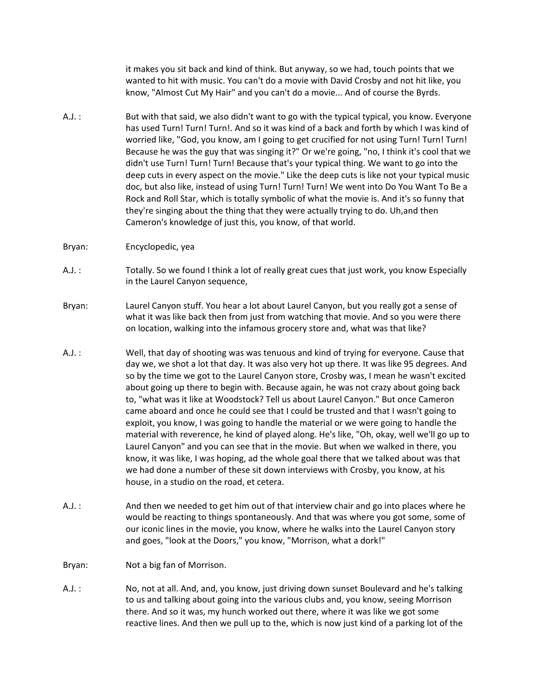it makes you sit back and kind of think. But anyway, so we had, touch points that we wanted to hit with music. You can't do a movie with David Crosby and not hit like, you know, "Almost Cut My Hair" and you can't do a movie... And of course the Byrds.

- A.J. : But with that said, we also didn't want to go with the typical typical, you know. Everyone has used Turn! Turn! Turn!. And so it was kind of a back and forth by which I was kind of worried like, "God, you know, am I going to get crucified for not using Turn! Turn! Turn! Because he was the guy that was singing it?" Or we're going, "no, I think it's cool that we didn't use Turn! Turn! Turn! Because that's your typical thing. We want to go into the deep cuts in every aspect on the movie." Like the deep cuts is like not your typical music doc, but also like, instead of using Turn! Turn! Turn! We went into Do You Want To Be a Rock and Roll Star, which is totally symbolic of what the movie is. And it's so funny that they're singing about the thing that they were actually trying to do. Uh,and then Cameron's knowledge of just this, you know, of that world.
- Bryan: Encyclopedic, yea
- A.J. : Totally. So we found I think a lot of really great cues that just work, you know Especially in the Laurel Canyon sequence,
- Bryan: Laurel Canyon stuff. You hear a lot about Laurel Canyon, but you really got a sense of what it was like back then from just from watching that movie. And so you were there on location, walking into the infamous grocery store and, what was that like?
- A.J. : Well, that day of shooting was was tenuous and kind of trying for everyone. Cause that day we, we shot a lot that day. It was also very hot up there. It was like 95 degrees. And so by the time we got to the Laurel Canyon store, Crosby was, I mean he wasn't excited about going up there to begin with. Because again, he was not crazy about going back to, "what was it like at Woodstock? Tell us about Laurel Canyon." But once Cameron came aboard and once he could see that I could be trusted and that I wasn't going to exploit, you know, I was going to handle the material or we were going to handle the material with reverence, he kind of played along. He's like, "Oh, okay, well we'll go up to Laurel Canyon" and you can see that in the movie. But when we walked in there, you know, it was like, I was hoping, ad the whole goal there that we talked about was that we had done a number of these sit down interviews with Crosby, you know, at his house, in a studio on the road, et cetera.
- A.J. : And then we needed to get him out of that interview chair and go into places where he would be reacting to things spontaneously. And that was where you got some, some of our iconic lines in the movie, you know, where he walks into the Laurel Canyon story and goes, "look at the Doors," you know, "Morrison, what a dork!"
- Bryan: Not a big fan of Morrison.
- A.J. : No, not at all. And, and, you know, just driving down sunset Boulevard and he's talking to us and talking about going into the various clubs and, you know, seeing Morrison there. And so it was, my hunch worked out there, where it was like we got some reactive lines. And then we pull up to the, which is now just kind of a parking lot of the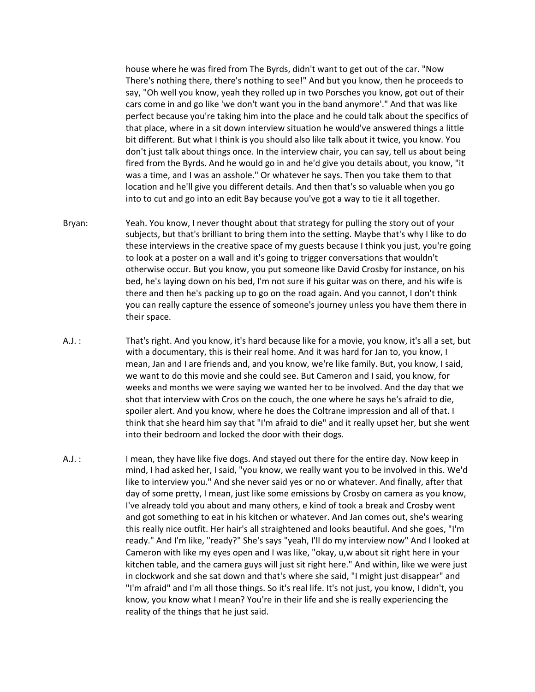house where he was fired from The Byrds, didn't want to get out of the car. "Now There's nothing there, there's nothing to see!" And but you know, then he proceeds to say, "Oh well you know, yeah they rolled up in two Porsches you know, got out of their cars come in and go like 'we don't want you in the band anymore'." And that was like perfect because you're taking him into the place and he could talk about the specifics of that place, where in a sit down interview situation he would've answered things a little bit different. But what I think is you should also like talk about it twice, you know. You don't just talk about things once. In the interview chair, you can say, tell us about being fired from the Byrds. And he would go in and he'd give you details about, you know, "it was a time, and I was an asshole." Or whatever he says. Then you take them to that location and he'll give you different details. And then that's so valuable when you go into to cut and go into an edit Bay because you've got a way to tie it all together.

- Bryan: Yeah. You know, I never thought about that strategy for pulling the story out of your subjects, but that's brilliant to bring them into the setting. Maybe that's why I like to do these interviews in the creative space of my guests because I think you just, you're going to look at a poster on a wall and it's going to trigger conversations that wouldn't otherwise occur. But you know, you put someone like David Crosby for instance, on his bed, he's laying down on his bed, I'm not sure if his guitar was on there, and his wife is there and then he's packing up to go on the road again. And you cannot, I don't think you can really capture the essence of someone's journey unless you have them there in their space.
- A.J. : That's right. And you know, it's hard because like for a movie, you know, it's all a set, but with a documentary, this is their real home. And it was hard for Jan to, you know, I mean, Jan and I are friends and, and you know, we're like family. But, you know, I said, we want to do this movie and she could see. But Cameron and I said, you know, for weeks and months we were saying we wanted her to be involved. And the day that we shot that interview with Cros on the couch, the one where he says he's afraid to die, spoiler alert. And you know, where he does the Coltrane impression and all of that. I think that she heard him say that "I'm afraid to die" and it really upset her, but she went into their bedroom and locked the door with their dogs.
- A.J. : I mean, they have like five dogs. And stayed out there for the entire day. Now keep in mind, I had asked her, I said, "you know, we really want you to be involved in this. We'd like to interview you." And she never said yes or no or whatever. And finally, after that day of some pretty, I mean, just like some emissions by Crosby on camera as you know, I've already told you about and many others, e kind of took a break and Crosby went and got something to eat in his kitchen or whatever. And Jan comes out, she's wearing this really nice outfit. Her hair's all straightened and looks beautiful. And she goes, "I'm ready." And I'm like, "ready?" She's says "yeah, I'll do my interview now" And I looked at Cameron with like my eyes open and I was like, "okay, u,w about sit right here in your kitchen table, and the camera guys will just sit right here." And within, like we were just in clockwork and she sat down and that's where she said, "I might just disappear" and "I'm afraid" and I'm all those things. So it's real life. It's not just, you know, I didn't, you know, you know what I mean? You're in their life and she is really experiencing the reality of the things that he just said.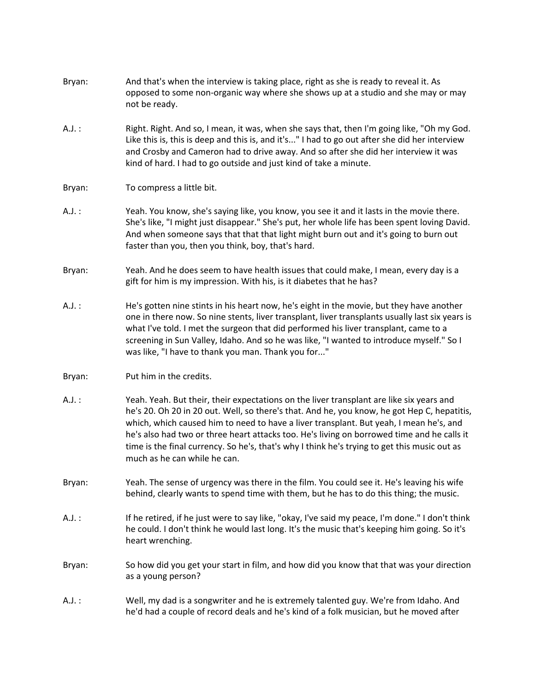| Bryan:   | And that's when the interview is taking place, right as she is ready to reveal it. As<br>opposed to some non-organic way where she shows up at a studio and she may or may<br>not be ready.                                                                                                                                                                                                                                                                                                                     |
|----------|-----------------------------------------------------------------------------------------------------------------------------------------------------------------------------------------------------------------------------------------------------------------------------------------------------------------------------------------------------------------------------------------------------------------------------------------------------------------------------------------------------------------|
| $A.J.$ : | Right. Right. And so, I mean, it was, when she says that, then I'm going like, "Oh my God.<br>Like this is, this is deep and this is, and it's" I had to go out after she did her interview<br>and Crosby and Cameron had to drive away. And so after she did her interview it was<br>kind of hard. I had to go outside and just kind of take a minute.                                                                                                                                                         |
| Bryan:   | To compress a little bit.                                                                                                                                                                                                                                                                                                                                                                                                                                                                                       |
| $A.J.$ : | Yeah. You know, she's saying like, you know, you see it and it lasts in the movie there.<br>She's like, "I might just disappear." She's put, her whole life has been spent loving David.<br>And when someone says that that that light might burn out and it's going to burn out<br>faster than you, then you think, boy, that's hard.                                                                                                                                                                          |
| Bryan:   | Yeah. And he does seem to have health issues that could make, I mean, every day is a<br>gift for him is my impression. With his, is it diabetes that he has?                                                                                                                                                                                                                                                                                                                                                    |
| $A.J.$ : | He's gotten nine stints in his heart now, he's eight in the movie, but they have another<br>one in there now. So nine stents, liver transplant, liver transplants usually last six years is<br>what I've told. I met the surgeon that did performed his liver transplant, came to a<br>screening in Sun Valley, Idaho. And so he was like, "I wanted to introduce myself." So I<br>was like, "I have to thank you man. Thank you for"                                                                           |
| Bryan:   | Put him in the credits.                                                                                                                                                                                                                                                                                                                                                                                                                                                                                         |
| $A.J.$ : | Yeah. Yeah. But their, their expectations on the liver transplant are like six years and<br>he's 20. Oh 20 in 20 out. Well, so there's that. And he, you know, he got Hep C, hepatitis,<br>which, which caused him to need to have a liver transplant. But yeah, I mean he's, and<br>he's also had two or three heart attacks too. He's living on borrowed time and he calls it<br>time is the final currency. So he's, that's why I think he's trying to get this music out as<br>much as he can while he can. |
| Bryan:   | Yeah. The sense of urgency was there in the film. You could see it. He's leaving his wife<br>behind, clearly wants to spend time with them, but he has to do this thing; the music.                                                                                                                                                                                                                                                                                                                             |
| $A.J.$ : | If he retired, if he just were to say like, "okay, I've said my peace, I'm done." I don't think<br>he could. I don't think he would last long. It's the music that's keeping him going. So it's<br>heart wrenching.                                                                                                                                                                                                                                                                                             |
| Bryan:   | So how did you get your start in film, and how did you know that that was your direction<br>as a young person?                                                                                                                                                                                                                                                                                                                                                                                                  |
| $A.J.$ : | Well, my dad is a songwriter and he is extremely talented guy. We're from Idaho. And<br>he'd had a couple of record deals and he's kind of a folk musician, but he moved after                                                                                                                                                                                                                                                                                                                                  |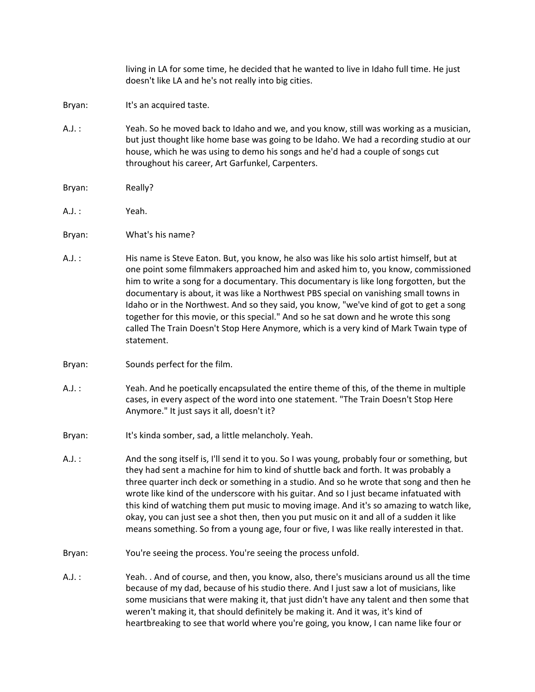living in LA for some time, he decided that he wanted to live in Idaho full time. He just doesn't like LA and he's not really into big cities.

- Bryan: It's an acquired taste.
- A.J. : Yeah. So he moved back to Idaho and we, and you know, still was working as a musician, but just thought like home base was going to be Idaho. We had a recording studio at our house, which he was using to demo his songs and he'd had a couple of songs cut throughout his career, Art Garfunkel, Carpenters.
- Bryan: Really?
- A.J. : Yeah.
- Bryan: What's his name?
- A.J. : His name is Steve Eaton. But, you know, he also was like his solo artist himself, but at one point some filmmakers approached him and asked him to, you know, commissioned him to write a song for a documentary. This documentary is like long forgotten, but the documentary is about, it was like a Northwest PBS special on vanishing small towns in Idaho or in the Northwest. And so they said, you know, "we've kind of got to get a song together for this movie, or this special." And so he sat down and he wrote this song called The Train Doesn't Stop Here Anymore, which is a very kind of Mark Twain type of statement.
- Bryan: Sounds perfect for the film.
- A.J. : Yeah. And he poetically encapsulated the entire theme of this, of the theme in multiple cases, in every aspect of the word into one statement. "The Train Doesn't Stop Here Anymore." It just says it all, doesn't it?
- Bryan: It's kinda somber, sad, a little melancholy. Yeah.
- A.J. : And the song itself is, I'll send it to you. So I was young, probably four or something, but they had sent a machine for him to kind of shuttle back and forth. It was probably a three quarter inch deck or something in a studio. And so he wrote that song and then he wrote like kind of the underscore with his guitar. And so I just became infatuated with this kind of watching them put music to moving image. And it's so amazing to watch like, okay, you can just see a shot then, then you put music on it and all of a sudden it like means something. So from a young age, four or five, I was like really interested in that.
- Bryan: You're seeing the process. You're seeing the process unfold.
- A.J. : Yeah. . And of course, and then, you know, also, there's musicians around us all the time because of my dad, because of his studio there. And I just saw a lot of musicians, like some musicians that were making it, that just didn't have any talent and then some that weren't making it, that should definitely be making it. And it was, it's kind of heartbreaking to see that world where you're going, you know, I can name like four or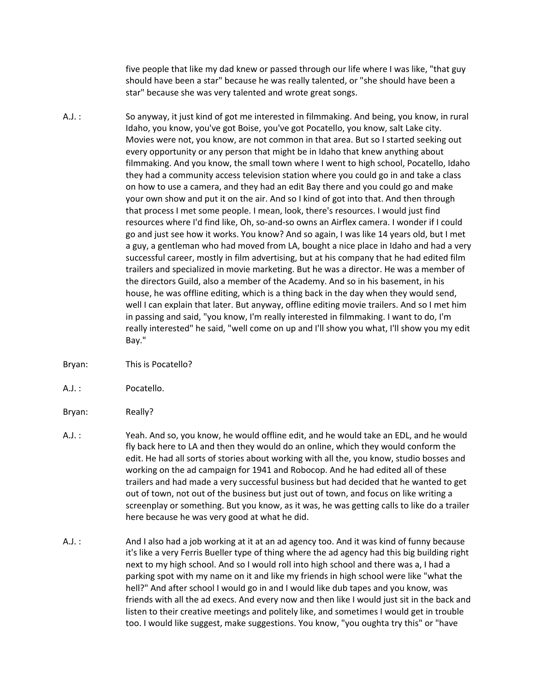five people that like my dad knew or passed through our life where I was like, "that guy should have been a star" because he was really talented, or "she should have been a star" because she was very talented and wrote great songs.

- A.J. : So anyway, it just kind of got me interested in filmmaking. And being, you know, in rural Idaho, you know, you've got Boise, you've got Pocatello, you know, salt Lake city. Movies were not, you know, are not common in that area. But so I started seeking out every opportunity or any person that might be in Idaho that knew anything about filmmaking. And you know, the small town where I went to high school, Pocatello, Idaho they had a community access television station where you could go in and take a class on how to use a camera, and they had an edit Bay there and you could go and make your own show and put it on the air. And so I kind of got into that. And then through that process I met some people. I mean, look, there's resources. I would just find resources where I'd find like, Oh, so-and-so owns an Airflex camera. I wonder if I could go and just see how it works. You know? And so again, I was like 14 years old, but I met a guy, a gentleman who had moved from LA, bought a nice place in Idaho and had a very successful career, mostly in film advertising, but at his company that he had edited film trailers and specialized in movie marketing. But he was a director. He was a member of the directors Guild, also a member of the Academy. And so in his basement, in his house, he was offline editing, which is a thing back in the day when they would send, well I can explain that later. But anyway, offline editing movie trailers. And so I met him in passing and said, "you know, I'm really interested in filmmaking. I want to do, I'm really interested" he said, "well come on up and I'll show you what, I'll show you my edit Bay."
- Bryan: This is Pocatello?
- A.J. : Pocatello.
- Bryan: Really?
- A.J. : Yeah. And so, you know, he would offline edit, and he would take an EDL, and he would fly back here to LA and then they would do an online, which they would conform the edit. He had all sorts of stories about working with all the, you know, studio bosses and working on the ad campaign for 1941 and Robocop. And he had edited all of these trailers and had made a very successful business but had decided that he wanted to get out of town, not out of the business but just out of town, and focus on like writing a screenplay or something. But you know, as it was, he was getting calls to like do a trailer here because he was very good at what he did.
- A.J. : And I also had a job working at it at an ad agency too. And it was kind of funny because it's like a very Ferris Bueller type of thing where the ad agency had this big building right next to my high school. And so I would roll into high school and there was a, I had a parking spot with my name on it and like my friends in high school were like "what the hell?" And after school I would go in and I would like dub tapes and you know, was friends with all the ad execs. And every now and then like I would just sit in the back and listen to their creative meetings and politely like, and sometimes I would get in trouble too. I would like suggest, make suggestions. You know, "you oughta try this" or "have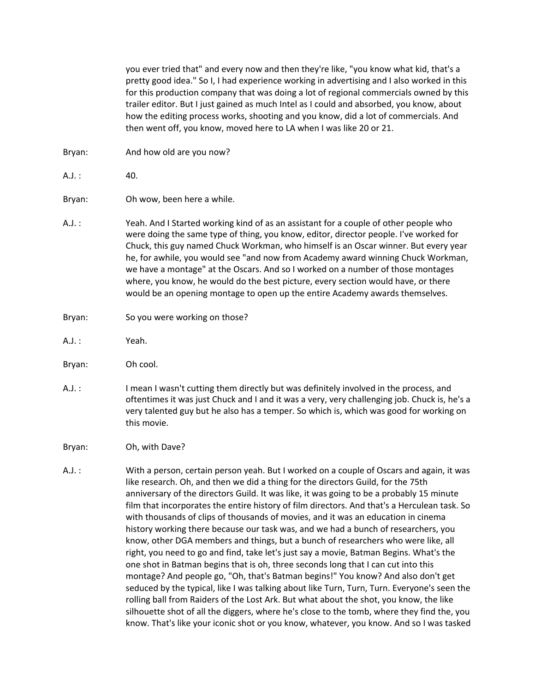you ever tried that" and every now and then they're like, "you know what kid, that's a pretty good idea." So I, I had experience working in advertising and I also worked in this for this production company that was doing a lot of regional commercials owned by this trailer editor. But I just gained as much Intel as I could and absorbed, you know, about how the editing process works, shooting and you know, did a lot of commercials. And then went off, you know, moved here to LA when I was like 20 or 21.

- Bryan: And how old are you now?
- $A.J. : 40.$
- Bryan: Oh wow, been here a while.
- A.J. : Yeah. And I Started working kind of as an assistant for a couple of other people who were doing the same type of thing, you know, editor, director people. I've worked for Chuck, this guy named Chuck Workman, who himself is an Oscar winner. But every year he, for awhile, you would see "and now from Academy award winning Chuck Workman, we have a montage" at the Oscars. And so I worked on a number of those montages where, you know, he would do the best picture, every section would have, or there would be an opening montage to open up the entire Academy awards themselves.
- Bryan: So you were working on those?
- A.J. : Yeah.
- Bryan: Oh cool.
- A.J. : I mean I wasn't cutting them directly but was definitely involved in the process, and oftentimes it was just Chuck and I and it was a very, very challenging job. Chuck is, he's a very talented guy but he also has a temper. So which is, which was good for working on this movie.
- Bryan: Oh, with Dave?
- A.J. : With a person, certain person yeah. But I worked on a couple of Oscars and again, it was like research. Oh, and then we did a thing for the directors Guild, for the 75th anniversary of the directors Guild. It was like, it was going to be a probably 15 minute film that incorporates the entire history of film directors. And that's a Herculean task. So with thousands of clips of thousands of movies, and it was an education in cinema history working there because our task was, and we had a bunch of researchers, you know, other DGA members and things, but a bunch of researchers who were like, all right, you need to go and find, take let's just say a movie, Batman Begins. What's the one shot in Batman begins that is oh, three seconds long that I can cut into this montage? And people go, "Oh, that's Batman begins!" You know? And also don't get seduced by the typical, like I was talking about like Turn, Turn, Turn. Everyone's seen the rolling ball from Raiders of the Lost Ark. But what about the shot, you know, the like silhouette shot of all the diggers, where he's close to the tomb, where they find the, you know. That's like your iconic shot or you know, whatever, you know. And so I was tasked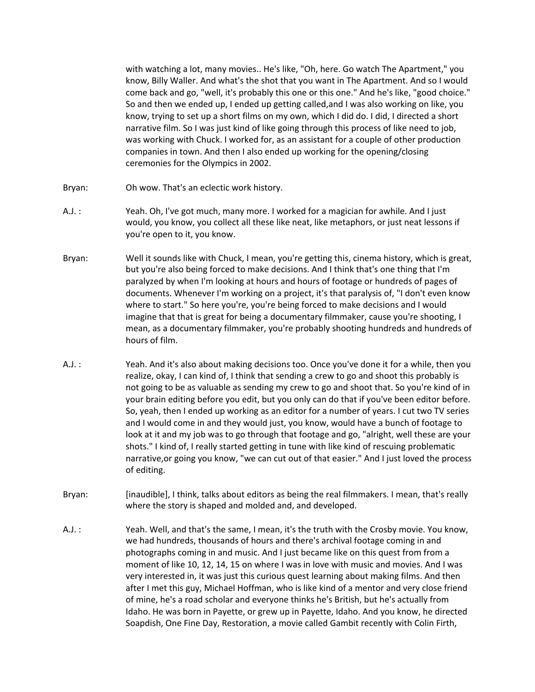with watching a lot, many movies.. He's like, "Oh, here. Go watch The Apartment," you know, Billy Waller. And what's the shot that you want in The Apartment. And so I would come back and go, "well, it's probably this one or this one." And he's like, "good choice." So and then we ended up, I ended up getting called,and I was also working on like, you know, trying to set up a short films on my own, which I did do. I did, I directed a short narrative film. So I was just kind of like going through this process of like need to job, was working with Chuck. I worked for, as an assistant for a couple of other production companies in town. And then I also ended up working for the opening/closing ceremonies for the Olympics in 2002.

- Bryan: Oh wow. That's an eclectic work history.
- A.J. : Yeah. Oh, I've got much, many more. I worked for a magician for awhile. And I just would, you know, you collect all these like neat, like metaphors, or just neat lessons if you're open to it, you know.
- Bryan: Well it sounds like with Chuck, I mean, you're getting this, cinema history, which is great, but you're also being forced to make decisions. And I think that's one thing that I'm paralyzed by when I'm looking at hours and hours of footage or hundreds of pages of documents. Whenever I'm working on a project, it's that paralysis of, "I don't even know where to start." So here you're, you're being forced to make decisions and I would imagine that that is great for being a documentary filmmaker, cause you're shooting, I mean, as a documentary filmmaker, you're probably shooting hundreds and hundreds of hours of film.
- A.J. : Yeah. And it's also about making decisions too. Once you've done it for a while, then you realize, okay, I can kind of, I think that sending a crew to go and shoot this probably is not going to be as valuable as sending my crew to go and shoot that. So you're kind of in your brain editing before you edit, but you only can do that if you've been editor before. So, yeah, then I ended up working as an editor for a number of years. I cut two TV series and I would come in and they would just, you know, would have a bunch of footage to look at it and my job was to go through that footage and go, "alright, well these are your shots." I kind of, I really started getting in tune with like kind of rescuing problematic narrative,or going you know, "we can cut out of that easier." And I just loved the process of editing.
- Bryan: [inaudible], I think, talks about editors as being the real filmmakers. I mean, that's really where the story is shaped and molded and, and developed.
- A.J. : Yeah. Well, and that's the same, I mean, it's the truth with the Crosby movie. You know, we had hundreds, thousands of hours and there's archival footage coming in and photographs coming in and music. And I just became like on this quest from from a moment of like 10, 12, 14, 15 on where I was in love with music and movies. And I was very interested in, it was just this curious quest learning about making films. And then after I met this guy, Michael Hoffman, who is like kind of a mentor and very close friend of mine, he's a road scholar and everyone thinks he's British, but he's actually from Idaho. He was born in Payette, or grew up in Payette, Idaho. And you know, he directed Soapdish, One Fine Day, Restoration, a movie called Gambit recently with Colin Firth,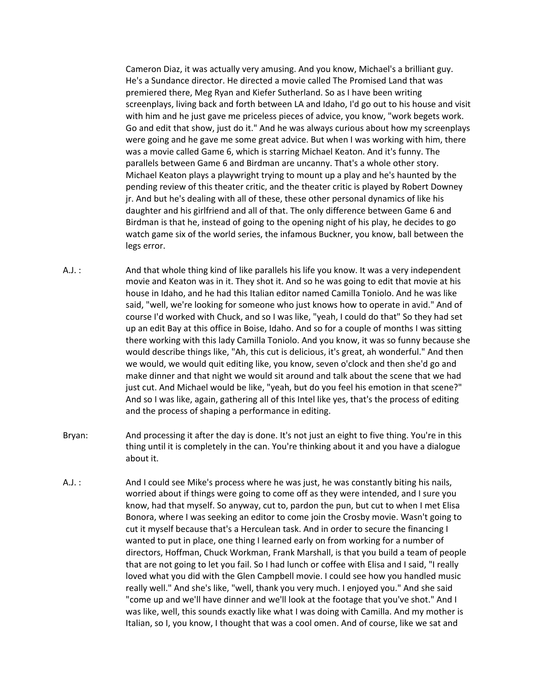Cameron Diaz, it was actually very amusing. And you know, Michael's a brilliant guy. He's a Sundance director. He directed a movie called The Promised Land that was premiered there, Meg Ryan and Kiefer Sutherland. So as I have been writing screenplays, living back and forth between LA and Idaho, I'd go out to his house and visit with him and he just gave me priceless pieces of advice, you know, "work begets work. Go and edit that show, just do it." And he was always curious about how my screenplays were going and he gave me some great advice. But when I was working with him, there was a movie called Game 6, which is starring Michael Keaton. And it's funny. The parallels between Game 6 and Birdman are uncanny. That's a whole other story. Michael Keaton plays a playwright trying to mount up a play and he's haunted by the pending review of this theater critic, and the theater critic is played by Robert Downey jr. And but he's dealing with all of these, these other personal dynamics of like his daughter and his girlfriend and all of that. The only difference between Game 6 and Birdman is that he, instead of going to the opening night of his play, he decides to go watch game six of the world series, the infamous Buckner, you know, ball between the legs error.

- A.J. : And that whole thing kind of like parallels his life you know. It was a very independent movie and Keaton was in it. They shot it. And so he was going to edit that movie at his house in Idaho, and he had this Italian editor named Camilla Toniolo. And he was like said, "well, we're looking for someone who just knows how to operate in avid." And of course I'd worked with Chuck, and so I was like, "yeah, I could do that" So they had set up an edit Bay at this office in Boise, Idaho. And so for a couple of months I was sitting there working with this lady Camilla Toniolo. And you know, it was so funny because she would describe things like, "Ah, this cut is delicious, it's great, ah wonderful." And then we would, we would quit editing like, you know, seven o'clock and then she'd go and make dinner and that night we would sit around and talk about the scene that we had just cut. And Michael would be like, "yeah, but do you feel his emotion in that scene?" And so I was like, again, gathering all of this Intel like yes, that's the process of editing and the process of shaping a performance in editing.
- Bryan: And processing it after the day is done. It's not just an eight to five thing. You're in this thing until it is completely in the can. You're thinking about it and you have a dialogue about it.
- A.J. : And I could see Mike's process where he was just, he was constantly biting his nails, worried about if things were going to come off as they were intended, and I sure you know, had that myself. So anyway, cut to, pardon the pun, but cut to when I met Elisa Bonora, where I was seeking an editor to come join the Crosby movie. Wasn't going to cut it myself because that's a Herculean task. And in order to secure the financing I wanted to put in place, one thing I learned early on from working for a number of directors, Hoffman, Chuck Workman, Frank Marshall, is that you build a team of people that are not going to let you fail. So I had lunch or coffee with Elisa and I said, "I really loved what you did with the Glen Campbell movie. I could see how you handled music really well." And she's like, "well, thank you very much. I enjoyed you." And she said "come up and we'll have dinner and we'll look at the footage that you've shot." And I was like, well, this sounds exactly like what I was doing with Camilla. And my mother is Italian, so I, you know, I thought that was a cool omen. And of course, like we sat and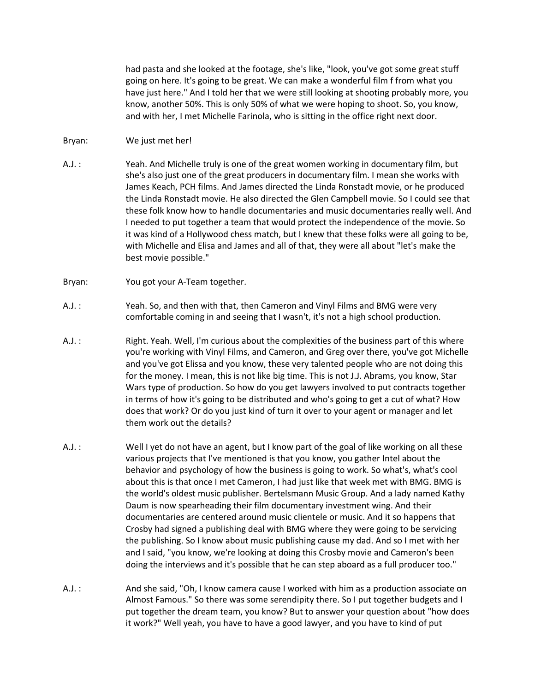had pasta and she looked at the footage, she's like, "look, you've got some great stuff going on here. It's going to be great. We can make a wonderful film f from what you have just here." And I told her that we were still looking at shooting probably more, you know, another 50%. This is only 50% of what we were hoping to shoot. So, you know, and with her, I met Michelle Farinola, who is sitting in the office right next door.

## Bryan: We just met her!

- A.J. : Yeah. And Michelle truly is one of the great women working in documentary film, but she's also just one of the great producers in documentary film. I mean she works with James Keach, PCH films. And James directed the Linda Ronstadt movie, or he produced the Linda Ronstadt movie. He also directed the Glen Campbell movie. So I could see that these folk know how to handle documentaries and music documentaries really well. And I needed to put together a team that would protect the independence of the movie. So it was kind of a Hollywood chess match, but I knew that these folks were all going to be, with Michelle and Elisa and James and all of that, they were all about "let's make the best movie possible."
- Bryan: You got your A-Team together.
- A.J. : Yeah. So, and then with that, then Cameron and Vinyl Films and BMG were very comfortable coming in and seeing that I wasn't, it's not a high school production.
- A.J. : Right. Yeah. Well, I'm curious about the complexities of the business part of this where you're working with Vinyl Films, and Cameron, and Greg over there, you've got Michelle and you've got Elissa and you know, these very talented people who are not doing this for the money. I mean, this is not like big time. This is not J.J. Abrams, you know, Star Wars type of production. So how do you get lawyers involved to put contracts together in terms of how it's going to be distributed and who's going to get a cut of what? How does that work? Or do you just kind of turn it over to your agent or manager and let them work out the details?
- A.J. : Well I yet do not have an agent, but I know part of the goal of like working on all these various projects that I've mentioned is that you know, you gather Intel about the behavior and psychology of how the business is going to work. So what's, what's cool about this is that once I met Cameron, I had just like that week met with BMG. BMG is the world's oldest music publisher. Bertelsmann Music Group. And a lady named Kathy Daum is now spearheading their film documentary investment wing. And their documentaries are centered around music clientele or music. And it so happens that Crosby had signed a publishing deal with BMG where they were going to be servicing the publishing. So I know about music publishing cause my dad. And so I met with her and I said, "you know, we're looking at doing this Crosby movie and Cameron's been doing the interviews and it's possible that he can step aboard as a full producer too."
- A.J. : And she said, "Oh, I know camera cause I worked with him as a production associate on Almost Famous." So there was some serendipity there. So I put together budgets and I put together the dream team, you know? But to answer your question about "how does it work?" Well yeah, you have to have a good lawyer, and you have to kind of put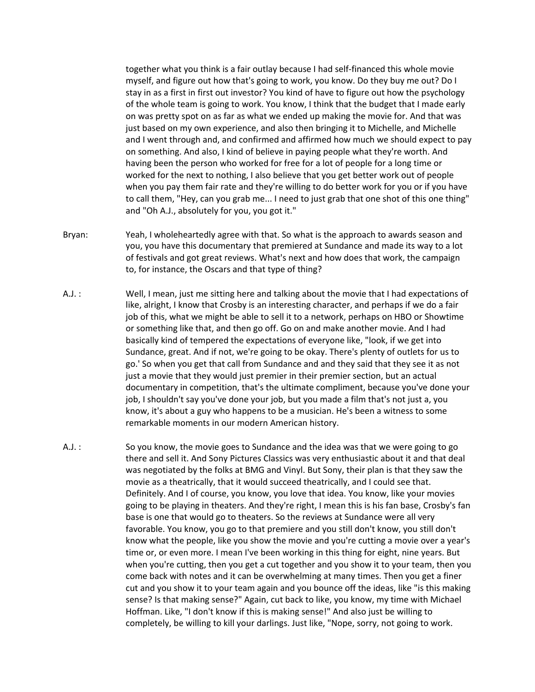together what you think is a fair outlay because I had self-financed this whole movie myself, and figure out how that's going to work, you know. Do they buy me out? Do I stay in as a first in first out investor? You kind of have to figure out how the psychology of the whole team is going to work. You know, I think that the budget that I made early on was pretty spot on as far as what we ended up making the movie for. And that was just based on my own experience, and also then bringing it to Michelle, and Michelle and I went through and, and confirmed and affirmed how much we should expect to pay on something. And also, I kind of believe in paying people what they're worth. And having been the person who worked for free for a lot of people for a long time or worked for the next to nothing, I also believe that you get better work out of people when you pay them fair rate and they're willing to do better work for you or if you have to call them, "Hey, can you grab me... I need to just grab that one shot of this one thing" and "Oh A.J., absolutely for you, you got it."

- Bryan: Yeah, I wholeheartedly agree with that. So what is the approach to awards season and you, you have this documentary that premiered at Sundance and made its way to a lot of festivals and got great reviews. What's next and how does that work, the campaign to, for instance, the Oscars and that type of thing?
- A.J. : Well, I mean, just me sitting here and talking about the movie that I had expectations of like, alright, I know that Crosby is an interesting character, and perhaps if we do a fair job of this, what we might be able to sell it to a network, perhaps on HBO or Showtime or something like that, and then go off. Go on and make another movie. And I had basically kind of tempered the expectations of everyone like, "look, if we get into Sundance, great. And if not, we're going to be okay. There's plenty of outlets for us to go.' So when you get that call from Sundance and and they said that they see it as not just a movie that they would just premier in their premier section, but an actual documentary in competition, that's the ultimate compliment, because you've done your job, I shouldn't say you've done your job, but you made a film that's not just a, you know, it's about a guy who happens to be a musician. He's been a witness to some remarkable moments in our modern American history.
- A.J. : So you know, the movie goes to Sundance and the idea was that we were going to go there and sell it. And Sony Pictures Classics was very enthusiastic about it and that deal was negotiated by the folks at BMG and Vinyl. But Sony, their plan is that they saw the movie as a theatrically, that it would succeed theatrically, and I could see that. Definitely. And I of course, you know, you love that idea. You know, like your movies going to be playing in theaters. And they're right, I mean this is his fan base, Crosby's fan base is one that would go to theaters. So the reviews at Sundance were all very favorable. You know, you go to that premiere and you still don't know, you still don't know what the people, like you show the movie and you're cutting a movie over a year's time or, or even more. I mean I've been working in this thing for eight, nine years. But when you're cutting, then you get a cut together and you show it to your team, then you come back with notes and it can be overwhelming at many times. Then you get a finer cut and you show it to your team again and you bounce off the ideas, like "is this making sense? Is that making sense?" Again, cut back to like, you know, my time with Michael Hoffman. Like, "I don't know if this is making sense!" And also just be willing to completely, be willing to kill your darlings. Just like, "Nope, sorry, not going to work.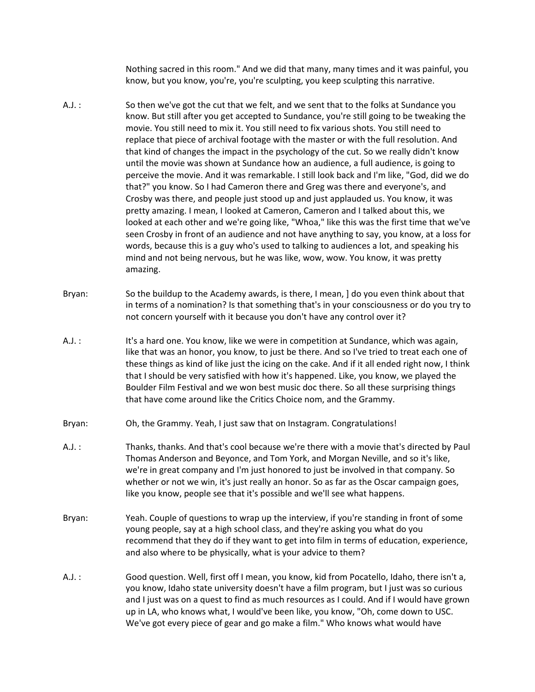Nothing sacred in this room." And we did that many, many times and it was painful, you know, but you know, you're, you're sculpting, you keep sculpting this narrative.

- A.J. : So then we've got the cut that we felt, and we sent that to the folks at Sundance you know. But still after you get accepted to Sundance, you're still going to be tweaking the movie. You still need to mix it. You still need to fix various shots. You still need to replace that piece of archival footage with the master or with the full resolution. And that kind of changes the impact in the psychology of the cut. So we really didn't know until the movie was shown at Sundance how an audience, a full audience, is going to perceive the movie. And it was remarkable. I still look back and I'm like, "God, did we do that?" you know. So I had Cameron there and Greg was there and everyone's, and Crosby was there, and people just stood up and just applauded us. You know, it was pretty amazing. I mean, I looked at Cameron, Cameron and I talked about this, we looked at each other and we're going like, "Whoa," like this was the first time that we've seen Crosby in front of an audience and not have anything to say, you know, at a loss for words, because this is a guy who's used to talking to audiences a lot, and speaking his mind and not being nervous, but he was like, wow, wow. You know, it was pretty amazing.
- Bryan: So the buildup to the Academy awards, is there, I mean, I do you even think about that in terms of a nomination? Is that something that's in your consciousness or do you try to not concern yourself with it because you don't have any control over it?
- A.J. : It's a hard one. You know, like we were in competition at Sundance, which was again, like that was an honor, you know, to just be there. And so I've tried to treat each one of these things as kind of like just the icing on the cake. And if it all ended right now, I think that I should be very satisfied with how it's happened. Like, you know, we played the Boulder Film Festival and we won best music doc there. So all these surprising things that have come around like the Critics Choice nom, and the Grammy.
- Bryan: Oh, the Grammy. Yeah, I just saw that on Instagram. Congratulations!
- A.J. : Thanks, thanks. And that's cool because we're there with a movie that's directed by Paul Thomas Anderson and Beyonce, and Tom York, and Morgan Neville, and so it's like, we're in great company and I'm just honored to just be involved in that company. So whether or not we win, it's just really an honor. So as far as the Oscar campaign goes, like you know, people see that it's possible and we'll see what happens.
- Bryan: Yeah. Couple of questions to wrap up the interview, if you're standing in front of some young people, say at a high school class, and they're asking you what do you recommend that they do if they want to get into film in terms of education, experience, and also where to be physically, what is your advice to them?
- A.J. : Good question. Well, first off I mean, you know, kid from Pocatello, Idaho, there isn't a, you know, Idaho state university doesn't have a film program, but I just was so curious and I just was on a quest to find as much resources as I could. And if I would have grown up in LA, who knows what, I would've been like, you know, "Oh, come down to USC. We've got every piece of gear and go make a film." Who knows what would have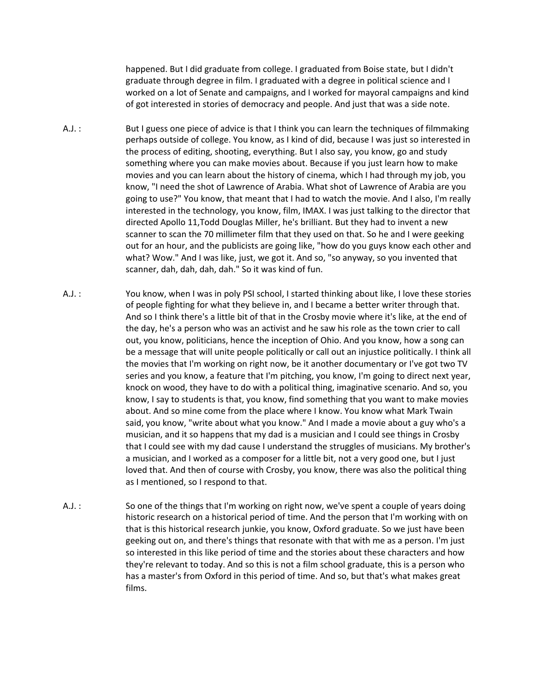happened. But I did graduate from college. I graduated from Boise state, but I didn't graduate through degree in film. I graduated with a degree in political science and I worked on a lot of Senate and campaigns, and I worked for mayoral campaigns and kind of got interested in stories of democracy and people. And just that was a side note.

- A.J. : But I guess one piece of advice is that I think you can learn the techniques of filmmaking perhaps outside of college. You know, as I kind of did, because I was just so interested in the process of editing, shooting, everything. But I also say, you know, go and study something where you can make movies about. Because if you just learn how to make movies and you can learn about the history of cinema, which I had through my job, you know, "I need the shot of Lawrence of Arabia. What shot of Lawrence of Arabia are you going to use?" You know, that meant that I had to watch the movie. And I also, I'm really interested in the technology, you know, film, IMAX. I was just talking to the director that directed Apollo 11,Todd Douglas Miller, he's brilliant. But they had to invent a new scanner to scan the 70 millimeter film that they used on that. So he and I were geeking out for an hour, and the publicists are going like, "how do you guys know each other and what? Wow." And I was like, just, we got it. And so, "so anyway, so you invented that scanner, dah, dah, dah, dah." So it was kind of fun.
- A.J. : You know, when I was in poly PSI school, I started thinking about like, I love these stories of people fighting for what they believe in, and I became a better writer through that. And so I think there's a little bit of that in the Crosby movie where it's like, at the end of the day, he's a person who was an activist and he saw his role as the town crier to call out, you know, politicians, hence the inception of Ohio. And you know, how a song can be a message that will unite people politically or call out an injustice politically. I think all the movies that I'm working on right now, be it another documentary or I've got two TV series and you know, a feature that I'm pitching, you know, I'm going to direct next year, knock on wood, they have to do with a political thing, imaginative scenario. And so, you know, I say to students is that, you know, find something that you want to make movies about. And so mine come from the place where I know. You know what Mark Twain said, you know, "write about what you know." And I made a movie about a guy who's a musician, and it so happens that my dad is a musician and I could see things in Crosby that I could see with my dad cause I understand the struggles of musicians. My brother's a musician, and I worked as a composer for a little bit, not a very good one, but I just loved that. And then of course with Crosby, you know, there was also the political thing as I mentioned, so I respond to that.
- A.J. : So one of the things that I'm working on right now, we've spent a couple of years doing historic research on a historical period of time. And the person that I'm working with on that is this historical research junkie, you know, Oxford graduate. So we just have been geeking out on, and there's things that resonate with that with me as a person. I'm just so interested in this like period of time and the stories about these characters and how they're relevant to today. And so this is not a film school graduate, this is a person who has a master's from Oxford in this period of time. And so, but that's what makes great films.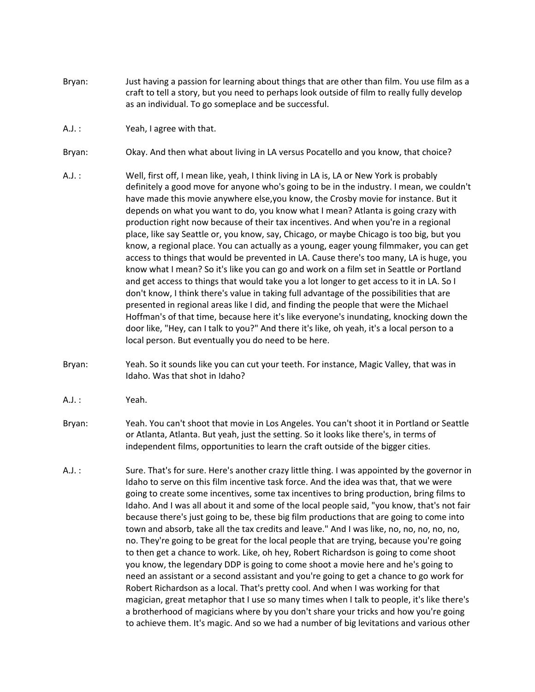- Bryan: Just having a passion for learning about things that are other than film. You use film as a craft to tell a story, but you need to perhaps look outside of film to really fully develop as an individual. To go someplace and be successful.
- A.J. : Yeah, I agree with that.
- Bryan: Okay. And then what about living in LA versus Pocatello and you know, that choice?
- A.J. : Well, first off, I mean like, yeah, I think living in LA is, LA or New York is probably definitely a good move for anyone who's going to be in the industry. I mean, we couldn't have made this movie anywhere else,you know, the Crosby movie for instance. But it depends on what you want to do, you know what I mean? Atlanta is going crazy with production right now because of their tax incentives. And when you're in a regional place, like say Seattle or, you know, say, Chicago, or maybe Chicago is too big, but you know, a regional place. You can actually as a young, eager young filmmaker, you can get access to things that would be prevented in LA. Cause there's too many, LA is huge, you know what I mean? So it's like you can go and work on a film set in Seattle or Portland and get access to things that would take you a lot longer to get access to it in LA. So I don't know, I think there's value in taking full advantage of the possibilities that are presented in regional areas like I did, and finding the people that were the Michael Hoffman's of that time, because here it's like everyone's inundating, knocking down the door like, "Hey, can I talk to you?" And there it's like, oh yeah, it's a local person to a local person. But eventually you do need to be here.
- Bryan: Yeah. So it sounds like you can cut your teeth. For instance, Magic Valley, that was in Idaho. Was that shot in Idaho?
- A.J. : Yeah.
- Bryan: Yeah. You can't shoot that movie in Los Angeles. You can't shoot it in Portland or Seattle or Atlanta, Atlanta. But yeah, just the setting. So it looks like there's, in terms of independent films, opportunities to learn the craft outside of the bigger cities.
- A.J. : Sure. That's for sure. Here's another crazy little thing. I was appointed by the governor in Idaho to serve on this film incentive task force. And the idea was that, that we were going to create some incentives, some tax incentives to bring production, bring films to Idaho. And I was all about it and some of the local people said, "you know, that's not fair because there's just going to be, these big film productions that are going to come into town and absorb, take all the tax credits and leave." And I was like, no, no, no, no, no, no. They're going to be great for the local people that are trying, because you're going to then get a chance to work. Like, oh hey, Robert Richardson is going to come shoot you know, the legendary DDP is going to come shoot a movie here and he's going to need an assistant or a second assistant and you're going to get a chance to go work for Robert Richardson as a local. That's pretty cool. And when I was working for that magician, great metaphor that I use so many times when I talk to people, it's like there's a brotherhood of magicians where by you don't share your tricks and how you're going to achieve them. It's magic. And so we had a number of big levitations and various other